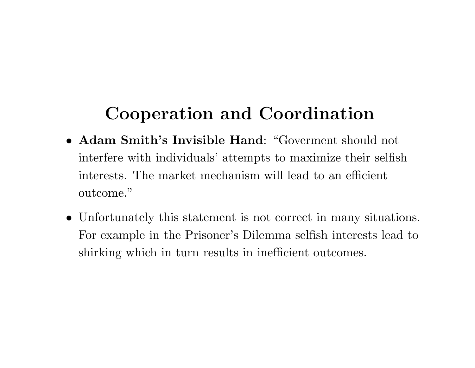## **Cooperation and Coordination**

- **Adam Smith's Invisible Hand**: "Goverment should not interfere with individuals' attempts to maximize their selfish interests. The market mechanism will lead to an efficient outcome."
- Unfortunately this statement is not correct in many situations. For example in the Prisoner's Dilemma selfish interests lead to shirking which in turn results in inefficient outcomes.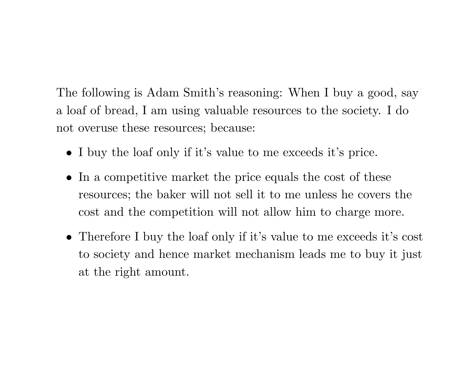The following is Adam Smith's reasoning: When I buy <sup>a</sup> good, say <sup>a</sup> loaf of bread, I am using valuable resources to the society. I do not overuse these resources; because:

- I buy the loaf only if it's value to me exceeds it's price.
- In <sup>a</sup> competitive market the price equals the cost of these resources; the baker will not sell it to me unless he covers the cost and the competition will not allow him to charge more.
- Therefore I buy the loaf only if it's value to me exceeds it's cost to society and hence market mechanism leads me to buy it just at the right amount.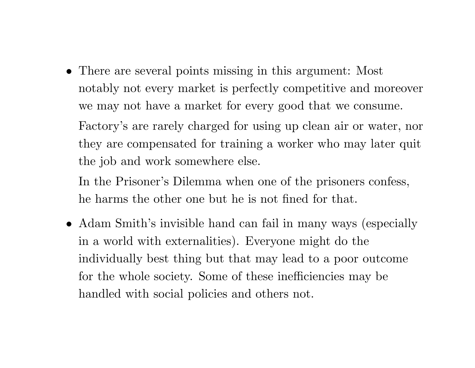• There are several points missing in this argument: Most notably not every market is perfectly competitive and moreover we may not have <sup>a</sup> market for every good that we consume. Factory's are rarely charged for using up clean air or water, nor they are compensated for training <sup>a</sup> worker who may later quit the job and work somewhere else.

In the Prisoner's Dilemma when one of the prisoners confess, he harms the other one but he is not fined for that.

• Adam Smith's invisible hand can fail in many ways (especially in <sup>a</sup> world with externalities). Everyone might do the individually best thing but that may lead to <sup>a</sup> poor outcome for the whole society. Some of these inefficiencies may be handled with social policies and others not.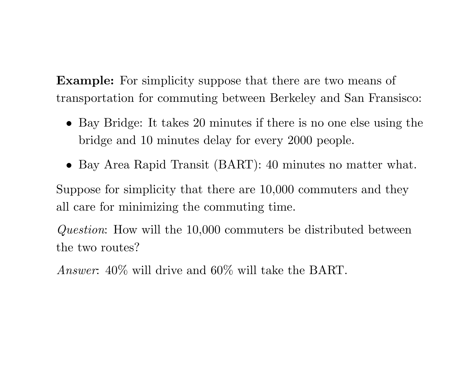**Example:** For simplicity suppose that there are two means of transportation for commuting between Berkeley and San Fransisco:

- Bay Bridge: It takes 20 minutes if there is no one else using the bridge and 10 minutes delay for every 2000 people.
- Bay Area Rapid Transit (BART): <sup>40</sup> minutes no matter what.

Suppose for simplicity that there are 10,000 commuters and they all care for minimizing the commuting time.

*Question*: How will the 10,000 commuters be distributed between the two routes?

*Answer*: 40% will drive and 60% will take the BART.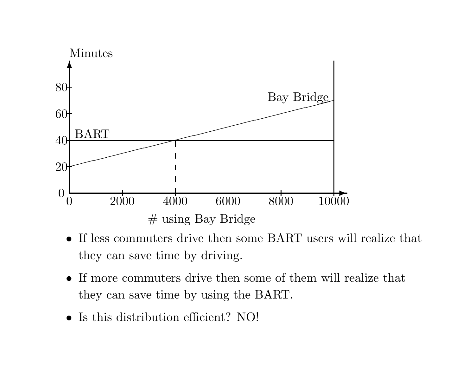

- If less commuters drive then some BART users will realize that they can save time by driving.
- If more commuters drive then some of them will realize that they can save time by using the BART.
- Is this distribution efficient? NO!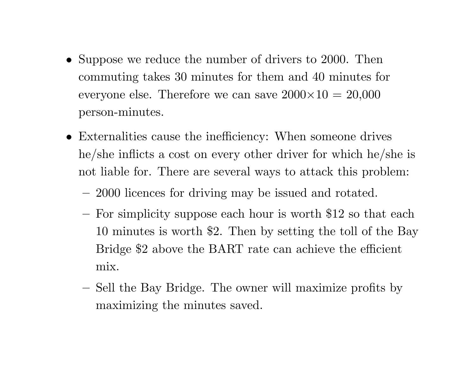- Suppose we reduce the number of drivers to 2000. Then commuting takes 30 minutes for them and 40 minutes for everyone else. Therefore we can save  $2000\times10$  =  $20{,}000$ person-minutes.
- Externalities cause the inefficiency: When someone drives he/she inflicts <sup>a</sup> cost on every other driver for which he/she is not liable for. There are several ways to attack this problem:
	- 2000 licences for driving may be issued and rotated.
	- **–** For simplicity suppose each hour is worth \$12 so that each 10 minutes is worth \$2. Then by setting the toll of the Bay Bridge \$2 above the BART rate can achieve the efficient mix.
	- **–**– Sell the Bay Bridge. The owner will maximize profits by maximizing the minutes saved.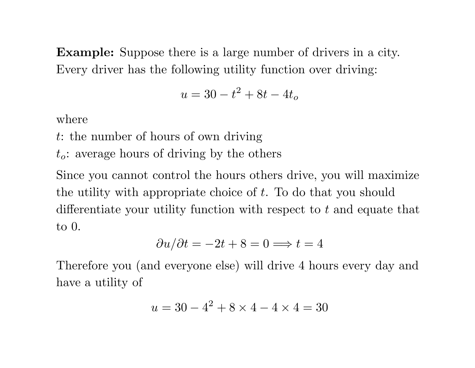**Example:** Suppose there is <sup>a</sup> large number of drivers in <sup>a</sup> city. Every driver has the following utility function over driving:

$$
u = 30 - t^2 + 8t - 4t_o
$$

where

- <sup>t</sup>: the number of hours of own driving
- <sup>t</sup>*o*: average hours of driving by the others

Since you cannot control the hours others drive, you will maximize the utility with appropriate choice of  $t$ . To do that you should differentiate your utility function with respect to <sup>t</sup> and equate that to 0.

$$
\frac{\partial u}{\partial t} = -2t + 8 = 0 \Longrightarrow t = 4
$$

Therefore you (and everyone else) will drive <sup>4</sup> hours every day and have <sup>a</sup> utility of

$$
u = 30 - 4^2 + 8 \times 4 - 4 \times 4 = 30
$$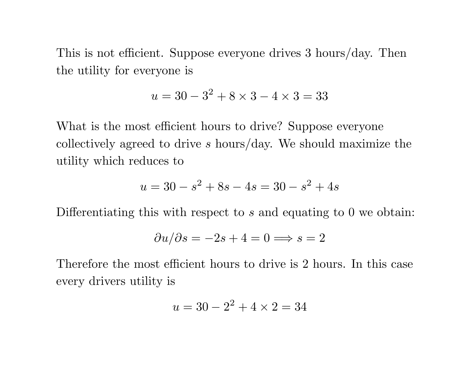This is not efficient. Suppose everyone drives <sup>3</sup> hours/day. Then the utility for everyone is

$$
u = 30 - 3^2 + 8 \times 3 - 4 \times 3 = 33
$$

What is the most efficient hours to drive? Suppose everyone collectively agreed to drive <sup>s</sup> hours/day. We should maximize the utility which reduces to

$$
u = 30 - s^2 + 8s - 4s = 30 - s^2 + 4s
$$

Differentiating this with respect to s and equating to 0 we obtain:

$$
\frac{\partial u}{\partial s} = -2s + 4 = 0 \Longrightarrow s = 2
$$

Therefore the most efficient hours to drive is 2 hours. In this case every drivers utility is

$$
u = 30 - 2^2 + 4 \times 2 = 34
$$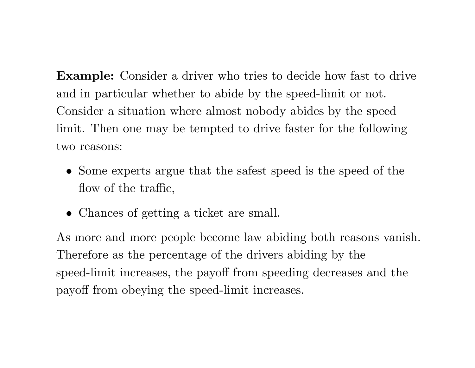**Example:** Consider a driver who tries to decide how fast to drive and in particular whether to abide by the speed-limit or not. Consider <sup>a</sup> situation where almost nobody abides by the speed limit. Then one may be tempted to drive faster for the following two reasons:

- Some experts argue that the safest speed is the speed of the flow of the traffic,
- Chances of getting <sup>a</sup> ticket are small.

As more and more people become law abiding both reasons vanish. Therefore as the percentage of the drivers abiding by the speed-limit increases, the payoff from speeding decreases and the payoff from obeying the speed-limit increases.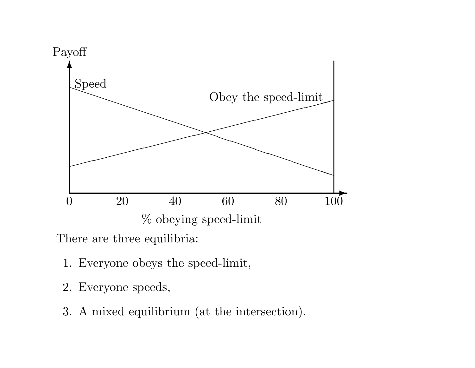

There are three equilibria:

- 1. Everyone obeys the speed-limit,
- 2. Everyone speeds,
- 3. A mixed equilibrium (at the intersection).